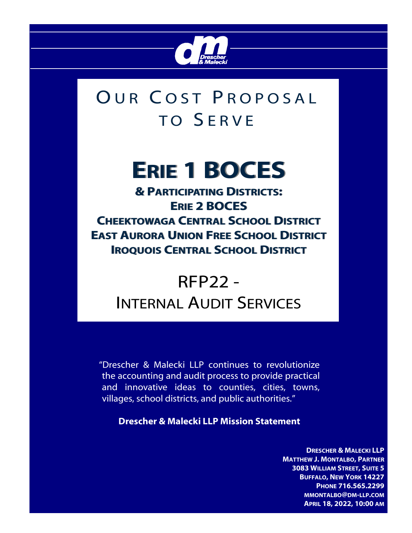

## OUR COST PROPOSAL TO SERVE

# **ERIE 1 BOCES 1 BOCES**

**& PARTICIPATING DISTRICTS: ERIE 2 BOCES 2 BOCES CHEEKTOWAGA CENTRAL SCHOOL DISTRICT EAST AURORA UNION FREE SCHOOL DISTRICT ISTRICT IROQUOIS CENTRAL SCHOOL DISTRICT** 

### RFP22 - INTERNAL AUDIT SERVICES

"Drescher & Malecki LLP continues to revolutionize the accounting and audit process to provide practical and innovative ideas to counties, cities, towns, villages, school districts, and public authorities."

**Drescher & Malecki LLP Mission Statement** 

**DRESCHER & MALECKI LLP MATTHEW J. MONTALBO, PARTNER 3083 WILLIAM STREET, SUITE 5 BUFFALO, NEW YORK 14227 PHONE 716.565.2299 MMONTALBO@DM-LLP.COM APRIL 18, 2022, 10:00 AM**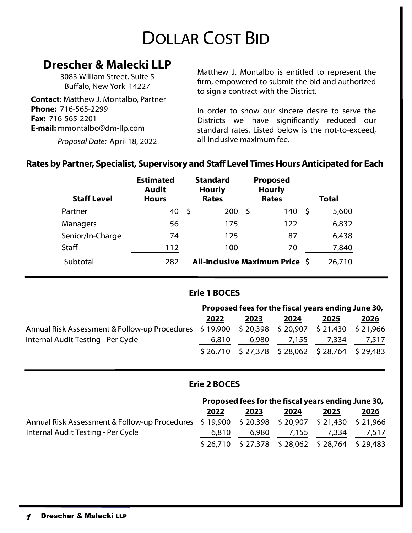### DOLLAR COST BID

### **Drescher & Malecki LLP**

3083 William Street, Suite 5 Buffalo, New York 14227

**Contact:** Matthew J. Montalbo, Partner **Phone:** 716-565-2299 **Fax:** 716-565-2201 **E-mail:** mmontalbo@dm-llp.com

*Proposal Date:* April 18, 2022

Matthew J. Montalbo is entitled to represent the firm, empowered to submit the bid and authorized to sign a contract with the District.

In order to show our sincere desire to serve the Districts we have significantly reduced our standard rates. Listed below is the not-to-exceed, all-inclusive maximum fee.

#### **Rates by Partner, Specialist, Supervisory and Staff Level Times Hours Anticipated for Each**

| <b>Staff Level</b> | <b>Estimated</b><br><b>Audit</b><br><b>Hours</b> | <b>Standard</b><br><b>Hourly</b><br><b>Rates</b> | Proposed<br><b>Hourly</b><br><b>Rates</b> | Total        |
|--------------------|--------------------------------------------------|--------------------------------------------------|-------------------------------------------|--------------|
| Partner            | 40                                               | 200<br>S                                         | 140<br>-\$                                | 5,600<br>S   |
| Managers           | 56                                               | 175                                              | 122                                       | 6,832        |
| Senior/In-Charge   | 74                                               | 125                                              | 87                                        | 6,438        |
| <b>Staff</b>       | 112                                              | 100                                              | 70                                        | 7,840        |
| Subtotal           | 282                                              |                                                  | <b>All-Inclusive Maximum Price</b>        | 26,710<br>-S |

#### **Erie 1 BOCES**

|                                                                                            | Proposed fees for the fiscal years ending June 30, |       |       |                                                   |       |
|--------------------------------------------------------------------------------------------|----------------------------------------------------|-------|-------|---------------------------------------------------|-------|
|                                                                                            | 2022                                               | 2023  | 2024  | 2025                                              | 2026  |
| Annual Risk Assessment & Follow-up Procedures \$19,900 \$20,398 \$20,907 \$21,430 \$21,966 |                                                    |       |       |                                                   |       |
| Internal Audit Testing - Per Cycle                                                         | 6.810                                              | 6,980 | 7,155 | 7.334                                             | 7,517 |
|                                                                                            |                                                    |       |       | $$26,710$ $$27,378$ $$28,062$ $$28,764$ $$29,483$ |       |

#### **Erie 2 BOCES**

|                                                                                            | Proposed fees for the fiscal years ending June 30, |       |       |                                                   |       |
|--------------------------------------------------------------------------------------------|----------------------------------------------------|-------|-------|---------------------------------------------------|-------|
|                                                                                            | 2022                                               | 2023  | 2024  | 2025                                              | 2026  |
| Annual Risk Assessment & Follow-up Procedures \$19,900 \$20,398 \$20,907 \$21,430 \$21,966 |                                                    |       |       |                                                   |       |
| Internal Audit Testing - Per Cycle                                                         | 6.810                                              | 6,980 | 7,155 | 7.334                                             | 7,517 |
|                                                                                            |                                                    |       |       | $$26,710$ $$27,378$ $$28,062$ $$28,764$ $$29,483$ |       |